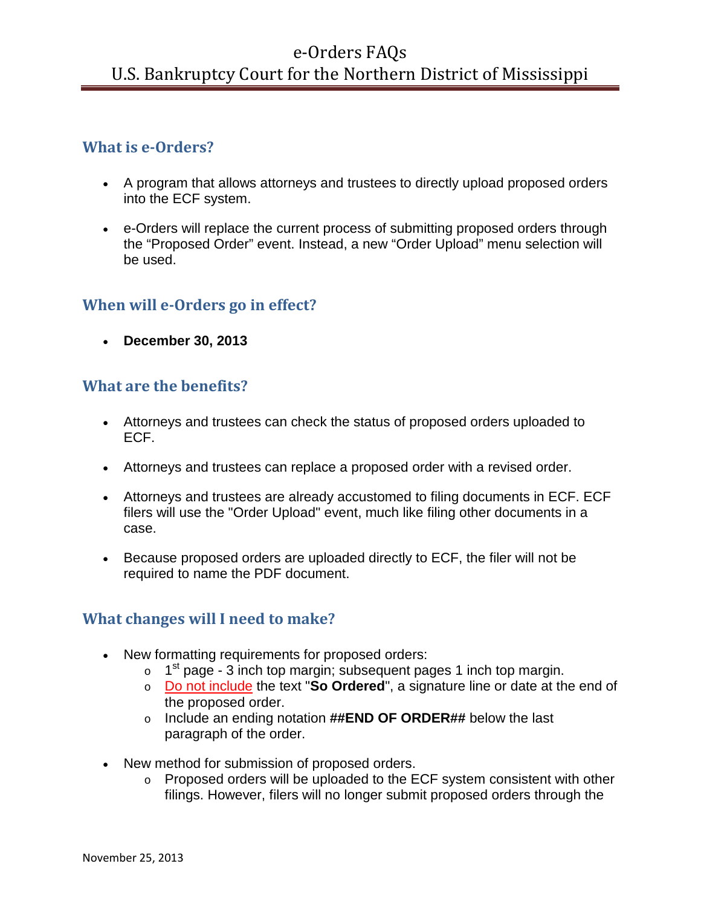## **What is e-Orders?**

- A program that allows attorneys and trustees to directly upload proposed orders into the ECF system.
- e-Orders will replace the current process of submitting proposed orders through the "Proposed Order" event. Instead, a new "Order Upload" menu selection will be used.

## **When will e-Orders go in effect?**

• **December 30, 2013**

## **What are the benefits?**

- Attorneys and trustees can check the status of proposed orders uploaded to ECF.
- Attorneys and trustees can replace a proposed order with a revised order.
- Attorneys and trustees are already accustomed to filing documents in ECF. ECF filers will use the "Order Upload" event, much like filing other documents in a case.
- Because proposed orders are uploaded directly to ECF, the filer will not be required to name the PDF document.

## **What changes will I need to make?**

- New formatting requirements for proposed orders:
	- $\circ$  1<sup>st</sup> page 3 inch top margin; subsequent pages 1 inch top margin.
	- o Do not include the text "**So Ordered**", a signature line or date at the end of the proposed order.
	- o Include an ending notation **##END OF ORDER##** below the last paragraph of the order.
- New method for submission of proposed orders.
	- o Proposed orders will be uploaded to the ECF system consistent with other filings. However, filers will no longer submit proposed orders through the